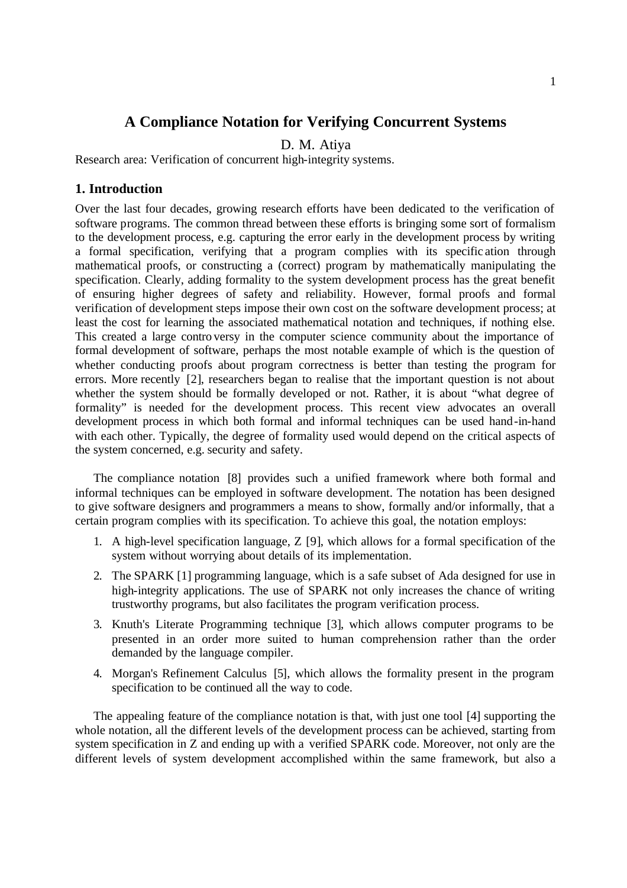# **A Compliance Notation for Verifying Concurrent Systems**

D. M. Atiya

Research area: Verification of concurrent high-integrity systems.

## **1. Introduction**

Over the last four decades, growing research efforts have been dedicated to the verification of software programs. The common thread between these efforts is bringing some sort of formalism to the development process, e.g. capturing the error early in the development process by writing a formal specification, verifying that a program complies with its specific ation through mathematical proofs, or constructing a (correct) program by mathematically manipulating the specification. Clearly, adding formality to the system development process has the great benefit of ensuring higher degrees of safety and reliability. However, formal proofs and formal verification of development steps impose their own cost on the software development process; at least the cost for learning the associated mathematical notation and techniques, if nothing else. This created a large contro versy in the computer science community about the importance of formal development of software, perhaps the most notable example of which is the question of whether conducting proofs about program correctness is better than testing the program for errors. More recently [2], researchers began to realise that the important question is not about whether the system should be formally developed or not. Rather, it is about "what degree of formality" is needed for the development process. This recent view advocates an overall development process in which both formal and informal techniques can be used hand-in-hand with each other. Typically, the degree of formality used would depend on the critical aspects of the system concerned, e.g. security and safety.

The compliance notation [8] provides such a unified framework where both formal and informal techniques can be employed in software development. The notation has been designed to give software designers and programmers a means to show, formally and/or informally, that a certain program complies with its specification. To achieve this goal, the notation employs:

- 1. A high-level specification language, Z [9], which allows for a formal specification of the system without worrying about details of its implementation.
- 2. The SPARK [1] programming language, which is a safe subset of Ada designed for use in high-integrity applications. The use of SPARK not only increases the chance of writing trustworthy programs, but also facilitates the program verification process.
- 3. Knuth's Literate Programming technique [3], which allows computer programs to be presented in an order more suited to human comprehension rather than the order demanded by the language compiler.
- 4. Morgan's Refinement Calculus [5], which allows the formality present in the program specification to be continued all the way to code.

The appealing feature of the compliance notation is that, with just one tool [4] supporting the whole notation, all the different levels of the development process can be achieved, starting from system specification in Z and ending up with a verified SPARK code. Moreover, not only are the different levels of system development accomplished within the same framework, but also a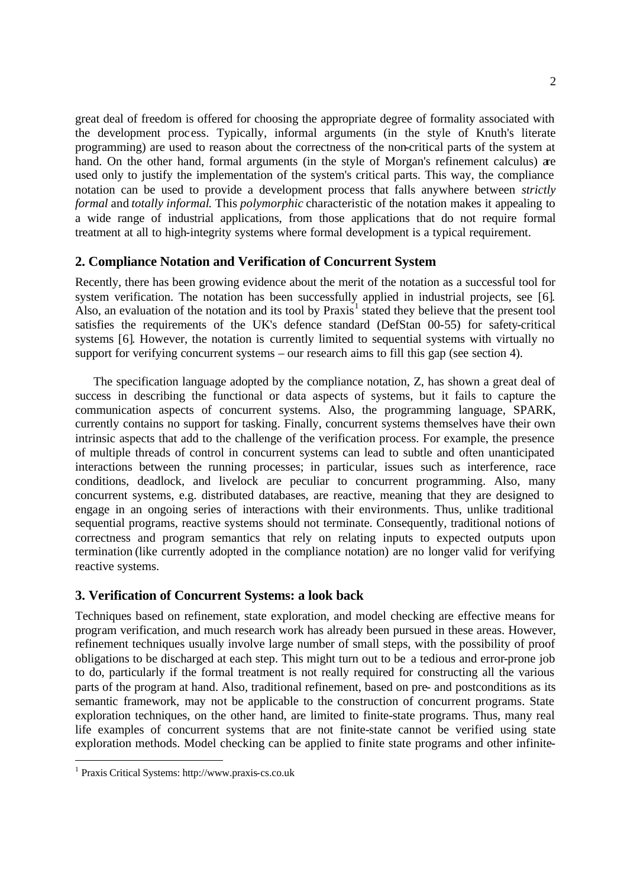great deal of freedom is offered for choosing the appropriate degree of formality associated with the development process. Typically, informal arguments (in the style of Knuth's literate programming) are used to reason about the correctness of the non-critical parts of the system at hand. On the other hand, formal arguments (in the style of Morgan's refinement calculus) are used only to justify the implementation of the system's critical parts. This way, the compliance notation can be used to provide a development process that falls anywhere between *strictly formal* and *totally informal*. This *polymorphic* characteristic of the notation makes it appealing to a wide range of industrial applications, from those applications that do not require formal treatment at all to high-integrity systems where formal development is a typical requirement.

## **2. Compliance Notation and Verification of Concurrent System**

Recently, there has been growing evidence about the merit of the notation as a successful tool for system verification. The notation has been successfully applied in industrial projects, see [6]. Also, an evaluation of the notation and its tool by  $Praxis<sup>1</sup>$  stated they believe that the present tool satisfies the requirements of the UK's defence standard (DefStan 00-55) for safety-critical systems [6]. However, the notation is currently limited to sequential systems with virtually no support for verifying concurrent systems – our research aims to fill this gap (see section 4).

The specification language adopted by the compliance notation, Z, has shown a great deal of success in describing the functional or data aspects of systems, but it fails to capture the communication aspects of concurrent systems. Also, the programming language, SPARK, currently contains no support for tasking. Finally, concurrent systems themselves have their own intrinsic aspects that add to the challenge of the verification process. For example, the presence of multiple threads of control in concurrent systems can lead to subtle and often unanticipated interactions between the running processes; in particular, issues such as interference, race conditions, deadlock, and livelock are peculiar to concurrent programming. Also, many concurrent systems, e.g. distributed databases, are reactive, meaning that they are designed to engage in an ongoing series of interactions with their environments. Thus, unlike traditional sequential programs, reactive systems should not terminate. Consequently, traditional notions of correctness and program semantics that rely on relating inputs to expected outputs upon termination (like currently adopted in the compliance notation) are no longer valid for verifying reactive systems.

# **3. Verification of Concurrent Systems: a look back**

Techniques based on refinement, state exploration, and model checking are effective means for program verification, and much research work has already been pursued in these areas. However, refinement techniques usually involve large number of small steps, with the possibility of proof obligations to be discharged at each step. This might turn out to be a tedious and error-prone job to do, particularly if the formal treatment is not really required for constructing all the various parts of the program at hand. Also, traditional refinement, based on pre- and postconditions as its semantic framework, may not be applicable to the construction of concurrent programs. State exploration techniques, on the other hand, are limited to finite-state programs. Thus, many real life examples of concurrent systems that are not finite-state cannot be verified using state exploration methods. Model checking can be applied to finite state programs and other infinite-

l

<sup>1</sup> Praxis Critical Systems: http://www.praxis-cs.co.uk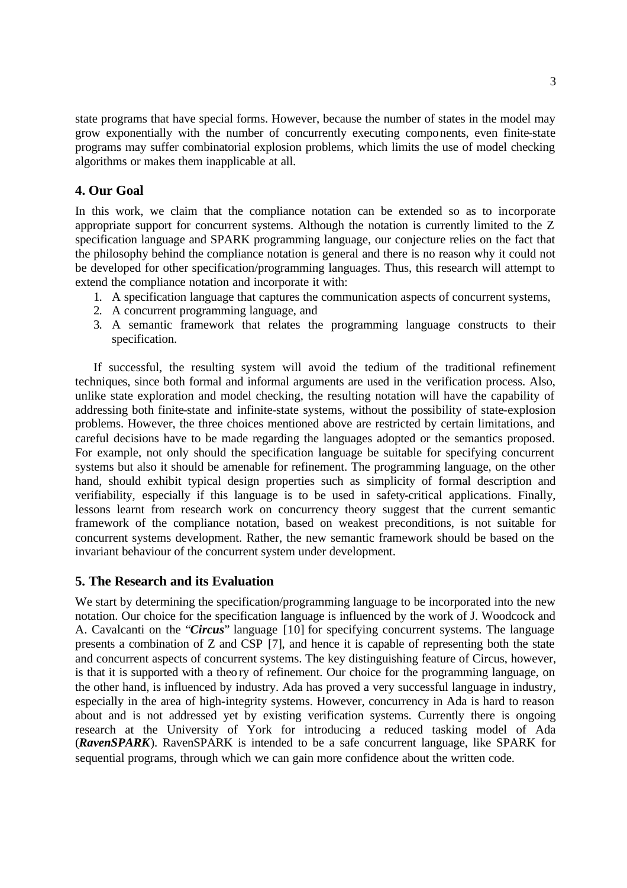state programs that have special forms. However, because the number of states in the model may grow exponentially with the number of concurrently executing components, even finite-state programs may suffer combinatorial explosion problems, which limits the use of model checking algorithms or makes them inapplicable at all.

## **4. Our Goal**

In this work, we claim that the compliance notation can be extended so as to incorporate appropriate support for concurrent systems. Although the notation is currently limited to the Z specification language and SPARK programming language, our conjecture relies on the fact that the philosophy behind the compliance notation is general and there is no reason why it could not be developed for other specification/programming languages. Thus, this research will attempt to extend the compliance notation and incorporate it with:

- 1. A specification language that captures the communication aspects of concurrent systems,
- 2. A concurrent programming language, and
- 3. A semantic framework that relates the programming language constructs to their specification.

If successful, the resulting system will avoid the tedium of the traditional refinement techniques, since both formal and informal arguments are used in the verification process. Also, unlike state exploration and model checking, the resulting notation will have the capability of addressing both finite-state and infinite-state systems, without the possibility of state-explosion problems. However, the three choices mentioned above are restricted by certain limitations, and careful decisions have to be made regarding the languages adopted or the semantics proposed. For example, not only should the specification language be suitable for specifying concurrent systems but also it should be amenable for refinement. The programming language, on the other hand, should exhibit typical design properties such as simplicity of formal description and verifiability, especially if this language is to be used in safety-critical applications. Finally, lessons learnt from research work on concurrency theory suggest that the current semantic framework of the compliance notation, based on weakest preconditions, is not suitable for concurrent systems development. Rather, the new semantic framework should be based on the invariant behaviour of the concurrent system under development.

## **5. The Research and its Evaluation**

We start by determining the specification/programming language to be incorporated into the new notation. Our choice for the specification language is influenced by the work of J. Woodcock and A. Cavalcanti on the "*Circus*" language [10] for specifying concurrent systems. The language presents a combination of Z and CSP [7], and hence it is capable of representing both the state and concurrent aspects of concurrent systems. The key distinguishing feature of Circus, however, is that it is supported with a theo ry of refinement. Our choice for the programming language, on the other hand, is influenced by industry. Ada has proved a very successful language in industry, especially in the area of high-integrity systems. However, concurrency in Ada is hard to reason about and is not addressed yet by existing verification systems. Currently there is ongoing research at the University of York for introducing a reduced tasking model of Ada (*RavenSPARK*). RavenSPARK is intended to be a safe concurrent language, like SPARK for sequential programs, through which we can gain more confidence about the written code.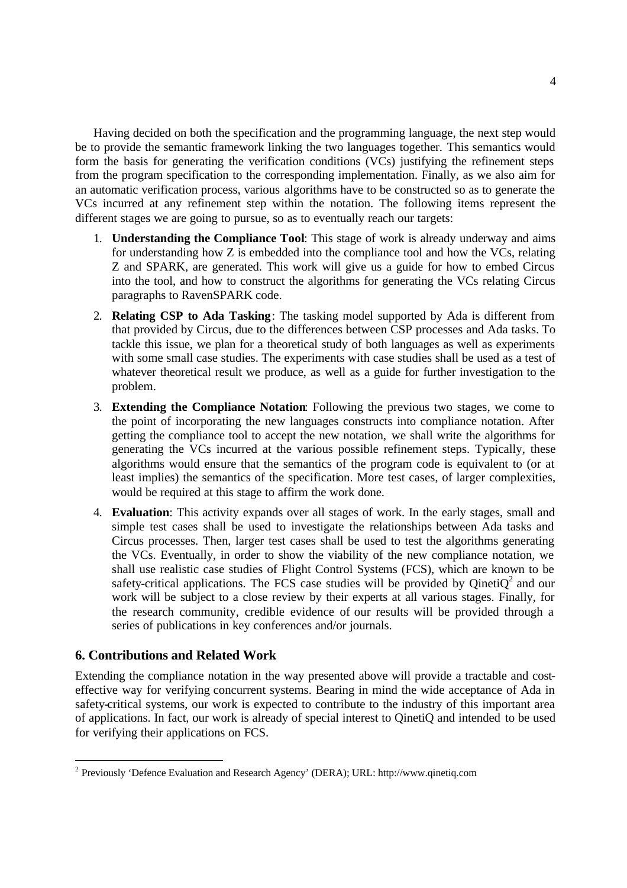Having decided on both the specification and the programming language, the next step would be to provide the semantic framework linking the two languages together. This semantics would form the basis for generating the verification conditions (VCs) justifying the refinement steps from the program specification to the corresponding implementation. Finally, as we also aim for an automatic verification process, various algorithms have to be constructed so as to generate the VCs incurred at any refinement step within the notation. The following items represent the different stages we are going to pursue, so as to eventually reach our targets:

- 1. **Understanding the Compliance Tool**: This stage of work is already underway and aims for understanding how Z is embedded into the compliance tool and how the VCs, relating Z and SPARK, are generated. This work will give us a guide for how to embed Circus into the tool, and how to construct the algorithms for generating the VCs relating Circus paragraphs to RavenSPARK code.
- 2. **Relating CSP to Ada Tasking**: The tasking model supported by Ada is different from that provided by Circus, due to the differences between CSP processes and Ada tasks. To tackle this issue, we plan for a theoretical study of both languages as well as experiments with some small case studies. The experiments with case studies shall be used as a test of whatever theoretical result we produce, as well as a guide for further investigation to the problem.
- 3. **Extending the Compliance Notation**: Following the previous two stages, we come to the point of incorporating the new languages constructs into compliance notation. After getting the compliance tool to accept the new notation, we shall write the algorithms for generating the VCs incurred at the various possible refinement steps. Typically, these algorithms would ensure that the semantics of the program code is equivalent to (or at least implies) the semantics of the specification. More test cases, of larger complexities, would be required at this stage to affirm the work done.
- 4. **Evaluation**: This activity expands over all stages of work. In the early stages, small and simple test cases shall be used to investigate the relationships between Ada tasks and Circus processes. Then, larger test cases shall be used to test the algorithms generating the VCs. Eventually, in order to show the viability of the new compliance notation, we shall use realistic case studies of Flight Control Systems (FCS), which are known to be safety-critical applications. The FCS case studies will be provided by QinetiQ<sup>2</sup> and our work will be subject to a close review by their experts at all various stages. Finally, for the research community, credible evidence of our results will be provided through a series of publications in key conferences and/or journals.

# **6. Contributions and Related Work**

l

Extending the compliance notation in the way presented above will provide a tractable and costeffective way for verifying concurrent systems. Bearing in mind the wide acceptance of Ada in safety-critical systems, our work is expected to contribute to the industry of this important area of applications. In fact, our work is already of special interest to QinetiQ and intended to be used for verifying their applications on FCS.

<sup>&</sup>lt;sup>2</sup> Previously 'Defence Evaluation and Research Agency' (DERA); URL: http://www.qinetiq.com